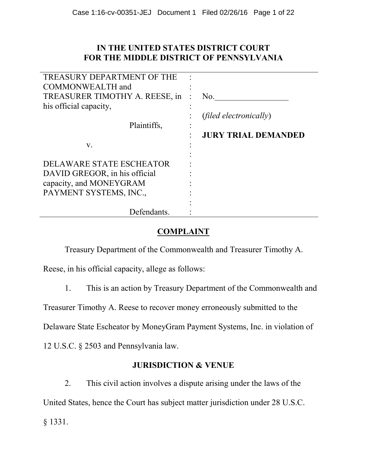# **IN THE UNITED STATES DISTRICT COURT FOR THE MIDDLE DISTRICT OF PENNSYLVANIA**

| TREASURY DEPARTMENT OF THE     |                               |
|--------------------------------|-------------------------------|
| COMMONWEALTH and               |                               |
| TREASURER TIMOTHY A. REESE, in | No.                           |
| his official capacity,         |                               |
|                                | <i>(filed electronically)</i> |
| Plaintiffs,                    |                               |
|                                | <b>JURY TRIAL DEMANDED</b>    |
| V.                             |                               |
|                                |                               |
| DELAWARE STATE ESCHEATOR       |                               |
| DAVID GREGOR, in his official  |                               |
| capacity, and MONEYGRAM        |                               |
| PAYMENT SYSTEMS, INC.,         |                               |
|                                |                               |
| Defendants.                    |                               |

# **COMPLAINT**

Treasury Department of the Commonwealth and Treasurer Timothy A.

Reese, in his official capacity, allege as follows:

1. This is an action by Treasury Department of the Commonwealth and

Treasurer Timothy A. Reese to recover money erroneously submitted to the

Delaware State Escheator by MoneyGram Payment Systems, Inc. in violation of

12 U.S.C. § 2503 and Pennsylvania law.

# **JURISDICTION & VENUE**

2. This civil action involves a dispute arising under the laws of the United States, hence the Court has subject matter jurisdiction under 28 U.S.C. § 1331.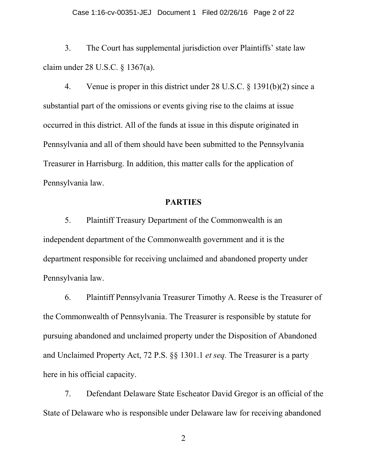3. The Court has supplemental jurisdiction over Plaintiffs' state law claim under 28 U.S.C. § 1367(a).

4. Venue is proper in this district under 28 U.S.C. § 1391(b)(2) since a substantial part of the omissions or events giving rise to the claims at issue occurred in this district. All of the funds at issue in this dispute originated in Pennsylvania and all of them should have been submitted to the Pennsylvania Treasurer in Harrisburg. In addition, this matter calls for the application of Pennsylvania law.

# **PARTIES**

5. Plaintiff Treasury Department of the Commonwealth is an independent department of the Commonwealth government and it is the department responsible for receiving unclaimed and abandoned property under Pennsylvania law.

6. Plaintiff Pennsylvania Treasurer Timothy A. Reese is the Treasurer of the Commonwealth of Pennsylvania. The Treasurer is responsible by statute for pursuing abandoned and unclaimed property under the Disposition of Abandoned and Unclaimed Property Act, 72 P.S. §§ 1301.1 *et seq.* The Treasurer is a party here in his official capacity.

7. Defendant Delaware State Escheator David Gregor is an official of the State of Delaware who is responsible under Delaware law for receiving abandoned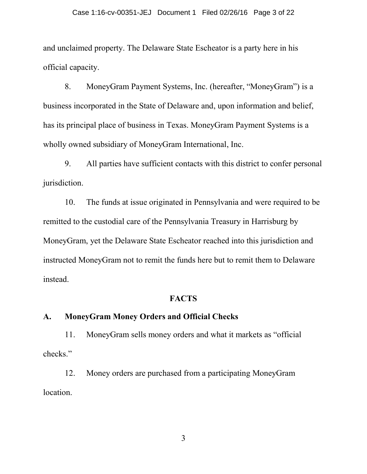and unclaimed property. The Delaware State Escheator is a party here in his official capacity.

8. MoneyGram Payment Systems, Inc. (hereafter, "MoneyGram") is a business incorporated in the State of Delaware and, upon information and belief, has its principal place of business in Texas. MoneyGram Payment Systems is a wholly owned subsidiary of MoneyGram International, Inc.

9. All parties have sufficient contacts with this district to confer personal jurisdiction.

10. The funds at issue originated in Pennsylvania and were required to be remitted to the custodial care of the Pennsylvania Treasury in Harrisburg by MoneyGram, yet the Delaware State Escheator reached into this jurisdiction and instructed MoneyGram not to remit the funds here but to remit them to Delaware instead.

#### **FACTS**

#### **A. MoneyGram Money Orders and Official Checks**

11. MoneyGram sells money orders and what it markets as "official checks."

12. Money orders are purchased from a participating MoneyGram location.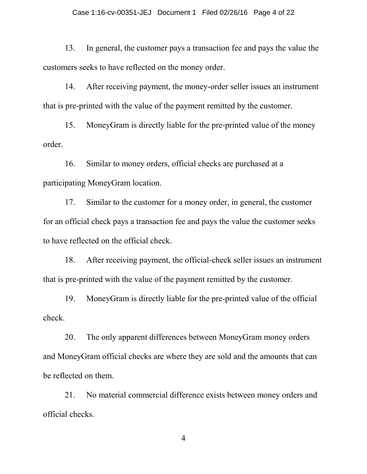13. In general, the customer pays a transaction fee and pays the value the customers seeks to have reflected on the money order.

14. After receiving payment, the money-order seller issues an instrument that is pre-printed with the value of the payment remitted by the customer.

15. MoneyGram is directly liable for the pre-printed value of the money order.

16. Similar to money orders, official checks are purchased at a participating MoneyGram location.

17. Similar to the customer for a money order, in general, the customer for an official check pays a transaction fee and pays the value the customer seeks to have reflected on the official check.

18. After receiving payment, the official-check seller issues an instrument that is pre-printed with the value of the payment remitted by the customer.

19. MoneyGram is directly liable for the pre-printed value of the official check.

20. The only apparent differences between MoneyGram money orders and MoneyGram official checks are where they are sold and the amounts that can be reflected on them.

21. No material commercial difference exists between money orders and official checks.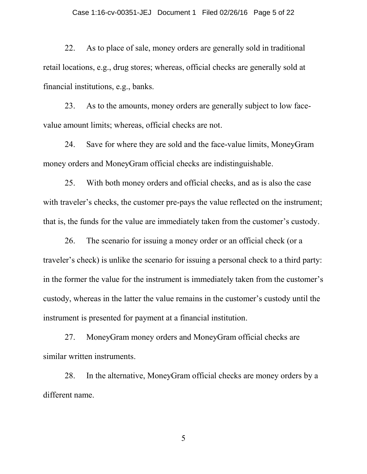#### Case 1:16-cv-00351-JEJ Document 1 Filed 02/26/16 Page 5 of 22

22. As to place of sale, money orders are generally sold in traditional retail locations, e.g., drug stores; whereas, official checks are generally sold at financial institutions, e.g., banks.

23. As to the amounts, money orders are generally subject to low facevalue amount limits; whereas, official checks are not.

24. Save for where they are sold and the face-value limits, MoneyGram money orders and MoneyGram official checks are indistinguishable.

25. With both money orders and official checks, and as is also the case with traveler's checks, the customer pre-pays the value reflected on the instrument; that is, the funds for the value are immediately taken from the customer's custody.

26. The scenario for issuing a money order or an official check (or a traveler's check) is unlike the scenario for issuing a personal check to a third party: in the former the value for the instrument is immediately taken from the customer's custody, whereas in the latter the value remains in the customer's custody until the instrument is presented for payment at a financial institution.

27. MoneyGram money orders and MoneyGram official checks are similar written instruments.

28. In the alternative, MoneyGram official checks are money orders by a different name.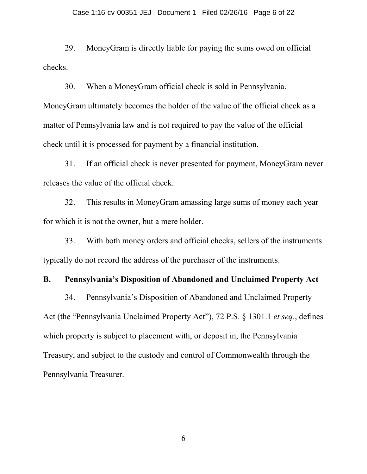29. MoneyGram is directly liable for paying the sums owed on official checks.

30. When a MoneyGram official check is sold in Pennsylvania, MoneyGram ultimately becomes the holder of the value of the official check as a matter of Pennsylvania law and is not required to pay the value of the official check until it is processed for payment by a financial institution.

31. If an official check is never presented for payment, MoneyGram never releases the value of the official check.

32. This results in MoneyGram amassing large sums of money each year for which it is not the owner, but a mere holder.

33. With both money orders and official checks, sellers of the instruments typically do not record the address of the purchaser of the instruments.

#### **B. Pennsylvania's Disposition of Abandoned and Unclaimed Property Act**

34. Pennsylvania's Disposition of Abandoned and Unclaimed Property Act (the "Pennsylvania Unclaimed Property Act"), 72 P.S. § 1301.1 *et seq.*, defines which property is subject to placement with, or deposit in, the Pennsylvania Treasury, and subject to the custody and control of Commonwealth through the Pennsylvania Treasurer.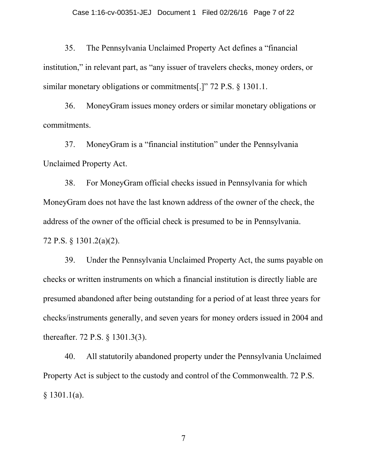35. The Pennsylvania Unclaimed Property Act defines a "financial institution," in relevant part, as "any issuer of travelers checks, money orders, or similar monetary obligations or commitments[.]" 72 P.S. § 1301.1.

36. MoneyGram issues money orders or similar monetary obligations or commitments.

37. MoneyGram is a "financial institution" under the Pennsylvania Unclaimed Property Act.

38. For MoneyGram official checks issued in Pennsylvania for which MoneyGram does not have the last known address of the owner of the check, the address of the owner of the official check is presumed to be in Pennsylvania. 72 P.S. § 1301.2(a)(2).

39. Under the Pennsylvania Unclaimed Property Act, the sums payable on checks or written instruments on which a financial institution is directly liable are presumed abandoned after being outstanding for a period of at least three years for checks/instruments generally, and seven years for money orders issued in 2004 and thereafter. 72 P.S. § 1301.3(3).

40. All statutorily abandoned property under the Pennsylvania Unclaimed Property Act is subject to the custody and control of the Commonwealth. 72 P.S. § 1301.1(a).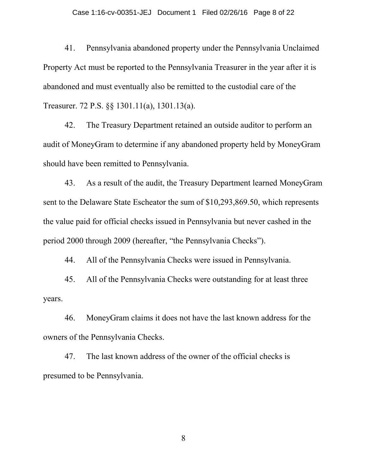#### Case 1:16-cv-00351-JEJ Document 1 Filed 02/26/16 Page 8 of 22

41. Pennsylvania abandoned property under the Pennsylvania Unclaimed Property Act must be reported to the Pennsylvania Treasurer in the year after it is abandoned and must eventually also be remitted to the custodial care of the Treasurer. 72 P.S. §§ 1301.11(a), 1301.13(a).

42. The Treasury Department retained an outside auditor to perform an audit of MoneyGram to determine if any abandoned property held by MoneyGram should have been remitted to Pennsylvania.

43. As a result of the audit, the Treasury Department learned MoneyGram sent to the Delaware State Escheator the sum of \$10,293,869.50, which represents the value paid for official checks issued in Pennsylvania but never cashed in the period 2000 through 2009 (hereafter, "the Pennsylvania Checks").

44. All of the Pennsylvania Checks were issued in Pennsylvania.

45. All of the Pennsylvania Checks were outstanding for at least three years.

46. MoneyGram claims it does not have the last known address for the owners of the Pennsylvania Checks.

47. The last known address of the owner of the official checks is presumed to be Pennsylvania.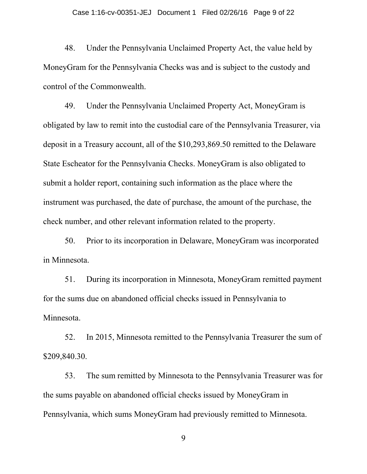48. Under the Pennsylvania Unclaimed Property Act, the value held by MoneyGram for the Pennsylvania Checks was and is subject to the custody and control of the Commonwealth.

49. Under the Pennsylvania Unclaimed Property Act, MoneyGram is obligated by law to remit into the custodial care of the Pennsylvania Treasurer, via deposit in a Treasury account, all of the \$10,293,869.50 remitted to the Delaware State Escheator for the Pennsylvania Checks. MoneyGram is also obligated to submit a holder report, containing such information as the place where the instrument was purchased, the date of purchase, the amount of the purchase, the check number, and other relevant information related to the property.

50. Prior to its incorporation in Delaware, MoneyGram was incorporated in Minnesota.

51. During its incorporation in Minnesota, MoneyGram remitted payment for the sums due on abandoned official checks issued in Pennsylvania to Minnesota.

52. In 2015, Minnesota remitted to the Pennsylvania Treasurer the sum of \$209,840.30.

53. The sum remitted by Minnesota to the Pennsylvania Treasurer was for the sums payable on abandoned official checks issued by MoneyGram in Pennsylvania, which sums MoneyGram had previously remitted to Minnesota.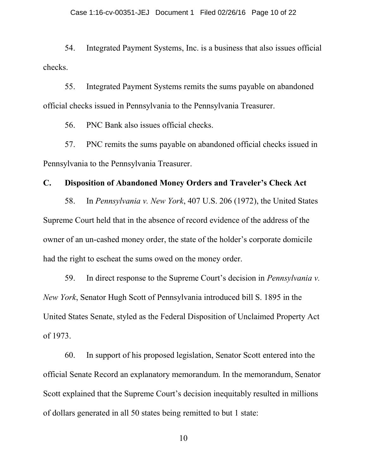54. Integrated Payment Systems, Inc. is a business that also issues official checks.

55. Integrated Payment Systems remits the sums payable on abandoned official checks issued in Pennsylvania to the Pennsylvania Treasurer.

56. PNC Bank also issues official checks.

57. PNC remits the sums payable on abandoned official checks issued in Pennsylvania to the Pennsylvania Treasurer.

## **C. Disposition of Abandoned Money Orders and Traveler's Check Act**

58. In *Pennsylvania v. New York*, 407 U.S. 206 (1972), the United States Supreme Court held that in the absence of record evidence of the address of the owner of an un-cashed money order, the state of the holder's corporate domicile had the right to escheat the sums owed on the money order.

59. In direct response to the Supreme Court's decision in *Pennsylvania v. New York*, Senator Hugh Scott of Pennsylvania introduced bill S. 1895 in the United States Senate, styled as the Federal Disposition of Unclaimed Property Act of 1973.

60. In support of his proposed legislation, Senator Scott entered into the official Senate Record an explanatory memorandum. In the memorandum, Senator Scott explained that the Supreme Court's decision inequitably resulted in millions of dollars generated in all 50 states being remitted to but 1 state: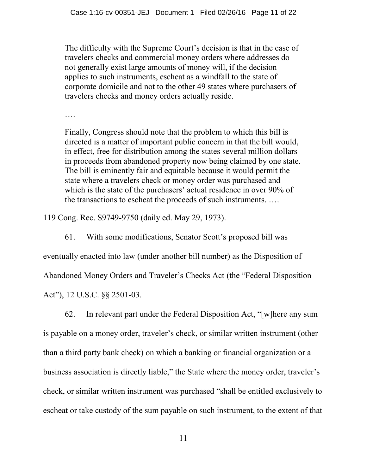The difficulty with the Supreme Court's decision is that in the case of travelers checks and commercial money orders where addresses do not generally exist large amounts of money will, if the decision applies to such instruments, escheat as a windfall to the state of corporate domicile and not to the other 49 states where purchasers of travelers checks and money orders actually reside.

….

Finally, Congress should note that the problem to which this bill is directed is a matter of important public concern in that the bill would, in effect, free for distribution among the states several million dollars in proceeds from abandoned property now being claimed by one state. The bill is eminently fair and equitable because it would permit the state where a travelers check or money order was purchased and which is the state of the purchasers' actual residence in over 90% of the transactions to escheat the proceeds of such instruments. ….

119 Cong. Rec. S9749-9750 (daily ed. May 29, 1973).

61. With some modifications, Senator Scott's proposed bill was

eventually enacted into law (under another bill number) as the Disposition of

Abandoned Money Orders and Traveler's Checks Act (the "Federal Disposition

Act"), 12 U.S.C. §§ 2501-03.

62. In relevant part under the Federal Disposition Act, "[w]here any sum is payable on a money order, traveler's check, or similar written instrument (other than a third party bank check) on which a banking or financial organization or a business association is directly liable," the State where the money order, traveler's check, or similar written instrument was purchased "shall be entitled exclusively to escheat or take custody of the sum payable on such instrument, to the extent of that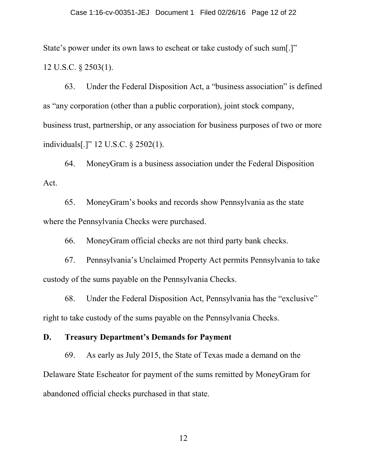State's power under its own laws to escheat or take custody of such sum[.]" 12 U.S.C. § 2503(1).

63. Under the Federal Disposition Act, a "business association" is defined as "any corporation (other than a public corporation), joint stock company, business trust, partnership, or any association for business purposes of two or more individuals[.]" 12 U.S.C. § 2502(1).

64. MoneyGram is a business association under the Federal Disposition Act.

65. MoneyGram's books and records show Pennsylvania as the state where the Pennsylvania Checks were purchased.

66. MoneyGram official checks are not third party bank checks.

67. Pennsylvania's Unclaimed Property Act permits Pennsylvania to take custody of the sums payable on the Pennsylvania Checks.

68. Under the Federal Disposition Act, Pennsylvania has the "exclusive" right to take custody of the sums payable on the Pennsylvania Checks.

#### **D. Treasury Department's Demands for Payment**

69. As early as July 2015, the State of Texas made a demand on the Delaware State Escheator for payment of the sums remitted by MoneyGram for abandoned official checks purchased in that state.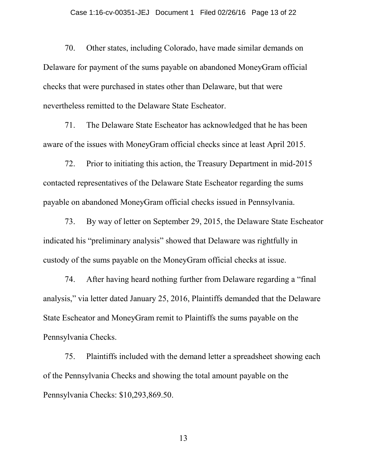70. Other states, including Colorado, have made similar demands on Delaware for payment of the sums payable on abandoned MoneyGram official checks that were purchased in states other than Delaware, but that were nevertheless remitted to the Delaware State Escheator.

71. The Delaware State Escheator has acknowledged that he has been aware of the issues with MoneyGram official checks since at least April 2015.

72. Prior to initiating this action, the Treasury Department in mid-2015 contacted representatives of the Delaware State Escheator regarding the sums payable on abandoned MoneyGram official checks issued in Pennsylvania.

73. By way of letter on September 29, 2015, the Delaware State Escheator indicated his "preliminary analysis" showed that Delaware was rightfully in custody of the sums payable on the MoneyGram official checks at issue.

74. After having heard nothing further from Delaware regarding a "final analysis," via letter dated January 25, 2016, Plaintiffs demanded that the Delaware State Escheator and MoneyGram remit to Plaintiffs the sums payable on the Pennsylvania Checks.

75. Plaintiffs included with the demand letter a spreadsheet showing each of the Pennsylvania Checks and showing the total amount payable on the Pennsylvania Checks: \$10,293,869.50.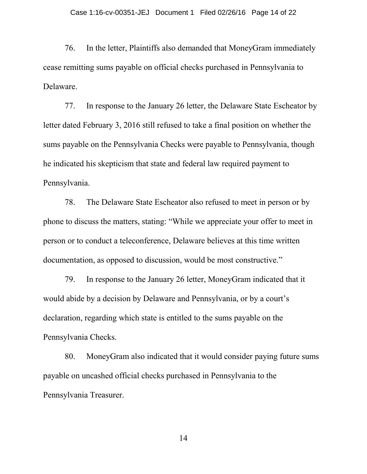76. In the letter, Plaintiffs also demanded that MoneyGram immediately cease remitting sums payable on official checks purchased in Pennsylvania to Delaware.

77. In response to the January 26 letter, the Delaware State Escheator by letter dated February 3, 2016 still refused to take a final position on whether the sums payable on the Pennsylvania Checks were payable to Pennsylvania, though he indicated his skepticism that state and federal law required payment to Pennsylvania.

78. The Delaware State Escheator also refused to meet in person or by phone to discuss the matters, stating: "While we appreciate your offer to meet in person or to conduct a teleconference, Delaware believes at this time written documentation, as opposed to discussion, would be most constructive."

79. In response to the January 26 letter, MoneyGram indicated that it would abide by a decision by Delaware and Pennsylvania, or by a court's declaration, regarding which state is entitled to the sums payable on the Pennsylvania Checks.

80. MoneyGram also indicated that it would consider paying future sums payable on uncashed official checks purchased in Pennsylvania to the Pennsylvania Treasurer.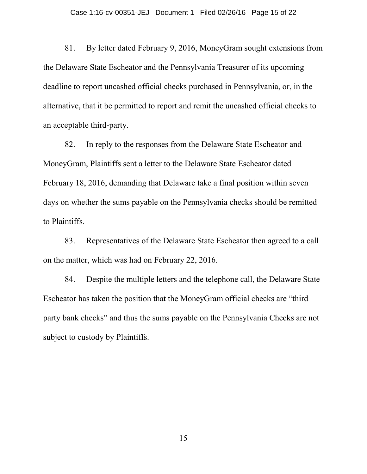81. By letter dated February 9, 2016, MoneyGram sought extensions from the Delaware State Escheator and the Pennsylvania Treasurer of its upcoming deadline to report uncashed official checks purchased in Pennsylvania, or, in the alternative, that it be permitted to report and remit the uncashed official checks to an acceptable third-party.

82. In reply to the responses from the Delaware State Escheator and MoneyGram, Plaintiffs sent a letter to the Delaware State Escheator dated February 18, 2016, demanding that Delaware take a final position within seven days on whether the sums payable on the Pennsylvania checks should be remitted to Plaintiffs.

83. Representatives of the Delaware State Escheator then agreed to a call on the matter, which was had on February 22, 2016.

84. Despite the multiple letters and the telephone call, the Delaware State Escheator has taken the position that the MoneyGram official checks are "third party bank checks" and thus the sums payable on the Pennsylvania Checks are not subject to custody by Plaintiffs.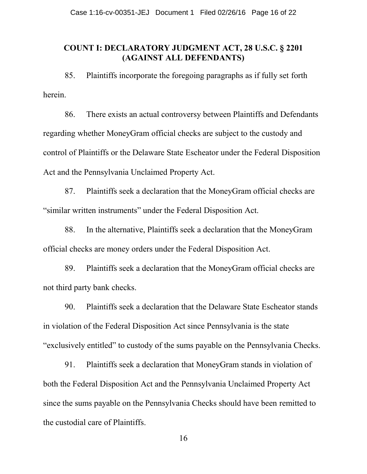## **COUNT I: DECLARATORY JUDGMENT ACT, 28 U.S.C. § 2201 (AGAINST ALL DEFENDANTS)**

85. Plaintiffs incorporate the foregoing paragraphs as if fully set forth herein.

86. There exists an actual controversy between Plaintiffs and Defendants regarding whether MoneyGram official checks are subject to the custody and control of Plaintiffs or the Delaware State Escheator under the Federal Disposition Act and the Pennsylvania Unclaimed Property Act.

87. Plaintiffs seek a declaration that the MoneyGram official checks are "similar written instruments" under the Federal Disposition Act.

88. In the alternative, Plaintiffs seek a declaration that the MoneyGram official checks are money orders under the Federal Disposition Act.

89. Plaintiffs seek a declaration that the MoneyGram official checks are not third party bank checks.

90. Plaintiffs seek a declaration that the Delaware State Escheator stands in violation of the Federal Disposition Act since Pennsylvania is the state "exclusively entitled" to custody of the sums payable on the Pennsylvania Checks.

91. Plaintiffs seek a declaration that MoneyGram stands in violation of both the Federal Disposition Act and the Pennsylvania Unclaimed Property Act since the sums payable on the Pennsylvania Checks should have been remitted to the custodial care of Plaintiffs.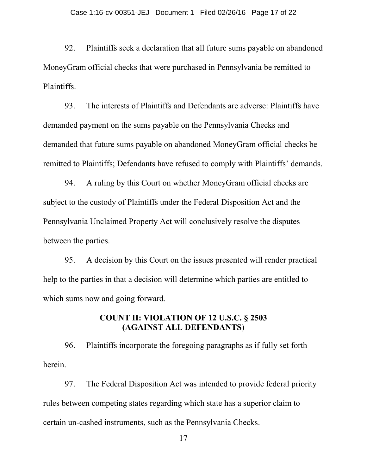92. Plaintiffs seek a declaration that all future sums payable on abandoned MoneyGram official checks that were purchased in Pennsylvania be remitted to Plaintiffs.

93. The interests of Plaintiffs and Defendants are adverse: Plaintiffs have demanded payment on the sums payable on the Pennsylvania Checks and demanded that future sums payable on abandoned MoneyGram official checks be remitted to Plaintiffs; Defendants have refused to comply with Plaintiffs' demands.

94. A ruling by this Court on whether MoneyGram official checks are subject to the custody of Plaintiffs under the Federal Disposition Act and the Pennsylvania Unclaimed Property Act will conclusively resolve the disputes between the parties.

95. A decision by this Court on the issues presented will render practical help to the parties in that a decision will determine which parties are entitled to which sums now and going forward.

# **COUNT II: VIOLATION OF 12 U.S.C. § 2503 (AGAINST ALL DEFENDANTS**)

96. Plaintiffs incorporate the foregoing paragraphs as if fully set forth herein.

97. The Federal Disposition Act was intended to provide federal priority rules between competing states regarding which state has a superior claim to certain un-cashed instruments, such as the Pennsylvania Checks.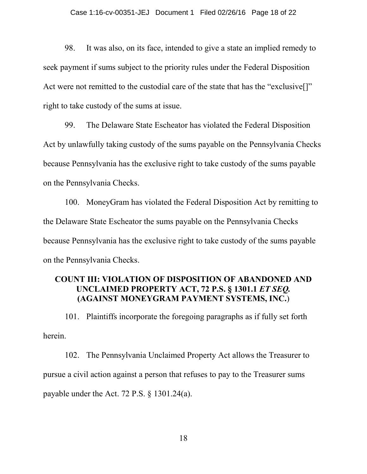98. It was also, on its face, intended to give a state an implied remedy to seek payment if sums subject to the priority rules under the Federal Disposition Act were not remitted to the custodial care of the state that has the "exclusive... right to take custody of the sums at issue.

99. The Delaware State Escheator has violated the Federal Disposition Act by unlawfully taking custody of the sums payable on the Pennsylvania Checks because Pennsylvania has the exclusive right to take custody of the sums payable on the Pennsylvania Checks.

100. MoneyGram has violated the Federal Disposition Act by remitting to the Delaware State Escheator the sums payable on the Pennsylvania Checks because Pennsylvania has the exclusive right to take custody of the sums payable on the Pennsylvania Checks.

### **COUNT III: VIOLATION OF DISPOSITION OF ABANDONED AND UNCLAIMED PROPERTY ACT, 72 P.S. § 1301.1** *ET SEQ.* **(AGAINST MONEYGRAM PAYMENT SYSTEMS, INC.**)

101. Plaintiffs incorporate the foregoing paragraphs as if fully set forth herein.

102. The Pennsylvania Unclaimed Property Act allows the Treasurer to pursue a civil action against a person that refuses to pay to the Treasurer sums payable under the Act. 72 P.S. § 1301.24(a).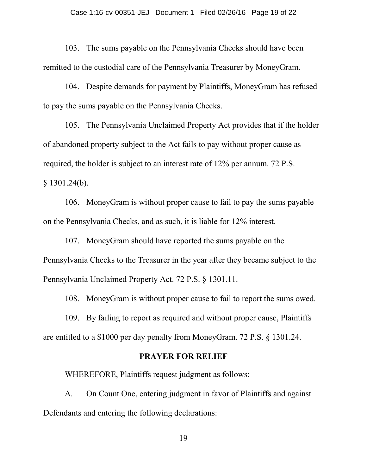103. The sums payable on the Pennsylvania Checks should have been remitted to the custodial care of the Pennsylvania Treasurer by MoneyGram.

104. Despite demands for payment by Plaintiffs, MoneyGram has refused to pay the sums payable on the Pennsylvania Checks.

105. The Pennsylvania Unclaimed Property Act provides that if the holder of abandoned property subject to the Act fails to pay without proper cause as required, the holder is subject to an interest rate of 12% per annum. 72 P.S.  $§ 1301.24(b).$ 

106. MoneyGram is without proper cause to fail to pay the sums payable on the Pennsylvania Checks, and as such, it is liable for 12% interest.

107. MoneyGram should have reported the sums payable on the Pennsylvania Checks to the Treasurer in the year after they became subject to the Pennsylvania Unclaimed Property Act. 72 P.S. § 1301.11.

108. MoneyGram is without proper cause to fail to report the sums owed.

109. By failing to report as required and without proper cause, Plaintiffs are entitled to a \$1000 per day penalty from MoneyGram. 72 P.S. § 1301.24.

#### **PRAYER FOR RELIEF**

WHEREFORE, Plaintiffs request judgment as follows:

A. On Count One, entering judgment in favor of Plaintiffs and against Defendants and entering the following declarations: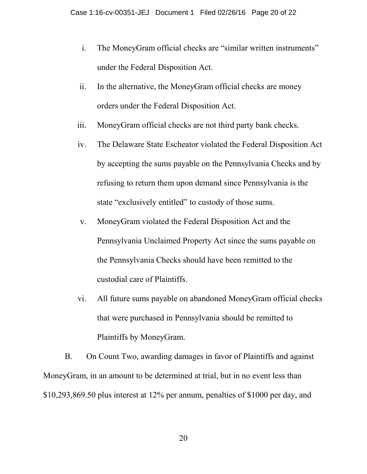- i. The MoneyGram official checks are "similar written instruments" under the Federal Disposition Act.
- ii. In the alternative, the MoneyGram official checks are money orders under the Federal Disposition Act.
- iii. MoneyGram official checks are not third party bank checks.
- iv. The Delaware State Escheator violated the Federal Disposition Act by accepting the sums payable on the Pennsylvania Checks and by refusing to return them upon demand since Pennsylvania is the state "exclusively entitled" to custody of those sums.
- v. MoneyGram violated the Federal Disposition Act and the Pennsylvania Unclaimed Property Act since the sums payable on the Pennsylvania Checks should have been remitted to the custodial care of Plaintiffs.
- vi. All future sums payable on abandoned MoneyGram official checks that were purchased in Pennsylvania should be remitted to Plaintiffs by MoneyGram.

B. On Count Two, awarding damages in favor of Plaintiffs and against MoneyGram, in an amount to be determined at trial, but in no event less than \$10,293,869.50 plus interest at 12% per annum, penalties of \$1000 per day, and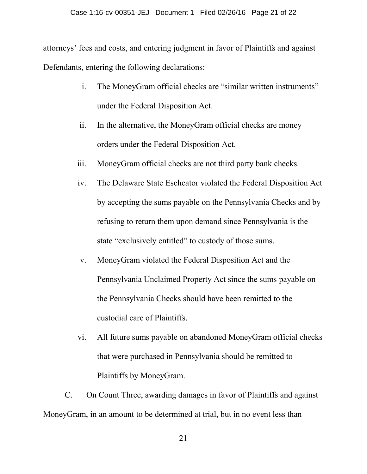#### Case 1:16-cv-00351-JEJ Document 1 Filed 02/26/16 Page 21 of 22

attorneys' fees and costs, and entering judgment in favor of Plaintiffs and against Defendants, entering the following declarations:

- i. The MoneyGram official checks are "similar written instruments" under the Federal Disposition Act.
- ii. In the alternative, the MoneyGram official checks are money orders under the Federal Disposition Act.
- iii. MoneyGram official checks are not third party bank checks.
- iv. The Delaware State Escheator violated the Federal Disposition Act by accepting the sums payable on the Pennsylvania Checks and by refusing to return them upon demand since Pennsylvania is the state "exclusively entitled" to custody of those sums.
- v. MoneyGram violated the Federal Disposition Act and the Pennsylvania Unclaimed Property Act since the sums payable on the Pennsylvania Checks should have been remitted to the custodial care of Plaintiffs.
- vi. All future sums payable on abandoned MoneyGram official checks that were purchased in Pennsylvania should be remitted to Plaintiffs by MoneyGram.

C. On Count Three, awarding damages in favor of Plaintiffs and against MoneyGram, in an amount to be determined at trial, but in no event less than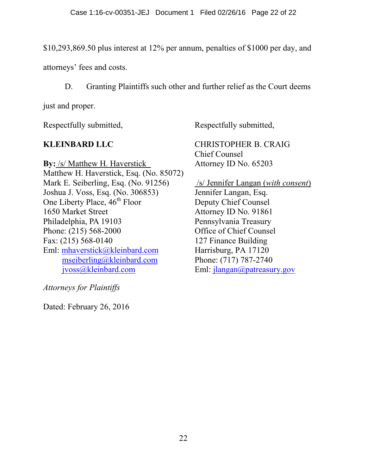\$10,293,869.50 plus interest at 12% per annum, penalties of \$1000 per day, and

attorneys' fees and costs.

D. Granting Plaintiffs such other and further relief as the Court deems

just and proper.

Respectfully submitted,

Respectfully submitted,

# **KLEINBARD LLC**

**By:** /s/ Matthew H. Haverstick Matthew H. Haverstick, Esq. (No. 85072) Mark E. Seiberling, Esq. (No. 91256) Joshua J. Voss, Esq. (No. 306853) One Liberty Place,  $46<sup>th</sup>$  Floor 1650 Market Street Philadelphia, PA 19103 Phone: (215) 568-2000 Fax: (215) 568-0140 Eml: [mhaverstick@kleinbard.com](mailto:mhaverstick@kleinbard.com) [mseiberling@kleinbard.com](mailto:mseiberling@kleinbard.com) [jvoss@kleinbard.com](mailto:jvoss@kleinbard.com)

*Attorneys for Plaintiffs*

Dated: February 26, 2016

CHRISTOPHER B. CRAIG Chief Counsel Attorney ID No. 65203

/s/ Jennifer Langan (*with consent*) Jennifer Langan, Esq. Deputy Chief Counsel Attorney ID No. 91861 Pennsylvania Treasury Office of Chief Counsel 127 Finance Building Harrisburg, PA 17120 Phone: (717) 787-2740 Eml: [jlangan@patreasury.gov](mailto:jlangan@patreasury.gov)